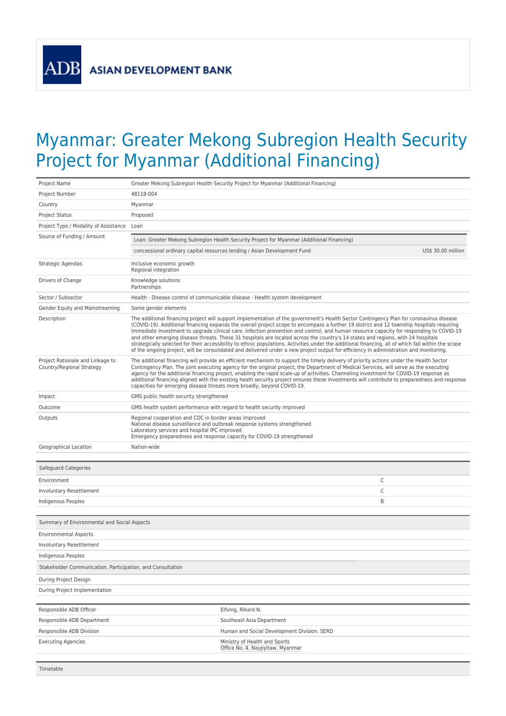**ADB** 

## Myanmar: Greater Mekong Subregion Health Security Project for Myanmar (Additional Financing)

| Project Name                                                  | Greater Mekong Subregion Health Security Project for Myanmar (Additional Financing)                                                                                                                                                                                                                                                                                                                                                                                                                                                                                                                                                                                                                                                                                                                                                                                  |                                                                          |                    |
|---------------------------------------------------------------|----------------------------------------------------------------------------------------------------------------------------------------------------------------------------------------------------------------------------------------------------------------------------------------------------------------------------------------------------------------------------------------------------------------------------------------------------------------------------------------------------------------------------------------------------------------------------------------------------------------------------------------------------------------------------------------------------------------------------------------------------------------------------------------------------------------------------------------------------------------------|--------------------------------------------------------------------------|--------------------|
| Project Number                                                | 48118-004                                                                                                                                                                                                                                                                                                                                                                                                                                                                                                                                                                                                                                                                                                                                                                                                                                                            |                                                                          |                    |
| Country                                                       | Myanmar                                                                                                                                                                                                                                                                                                                                                                                                                                                                                                                                                                                                                                                                                                                                                                                                                                                              |                                                                          |                    |
| <b>Project Status</b>                                         | Proposed                                                                                                                                                                                                                                                                                                                                                                                                                                                                                                                                                                                                                                                                                                                                                                                                                                                             |                                                                          |                    |
| Project Type / Modality of Assistance Loan                    |                                                                                                                                                                                                                                                                                                                                                                                                                                                                                                                                                                                                                                                                                                                                                                                                                                                                      |                                                                          |                    |
| Source of Funding / Amount                                    | Loan: Greater Mekong Subregion Health Security Project for Myanmar (Additional Financing)                                                                                                                                                                                                                                                                                                                                                                                                                                                                                                                                                                                                                                                                                                                                                                            |                                                                          |                    |
|                                                               |                                                                                                                                                                                                                                                                                                                                                                                                                                                                                                                                                                                                                                                                                                                                                                                                                                                                      | concessional ordinary capital resources lending / Asian Development Fund | US\$ 30.00 million |
| Strategic Agendas                                             | Inclusive economic growth<br>Regional integration                                                                                                                                                                                                                                                                                                                                                                                                                                                                                                                                                                                                                                                                                                                                                                                                                    |                                                                          |                    |
| Drivers of Change                                             | Knowledge solutions<br>Partnerships                                                                                                                                                                                                                                                                                                                                                                                                                                                                                                                                                                                                                                                                                                                                                                                                                                  |                                                                          |                    |
| Sector / Subsector                                            | Health - Disease control of communicable disease - Health system development                                                                                                                                                                                                                                                                                                                                                                                                                                                                                                                                                                                                                                                                                                                                                                                         |                                                                          |                    |
| Gender Equity and Mainstreaming                               | Some gender elements                                                                                                                                                                                                                                                                                                                                                                                                                                                                                                                                                                                                                                                                                                                                                                                                                                                 |                                                                          |                    |
| Description                                                   | The additional financing project will support implementation of the government's Health Sector Contingency Plan for coronavirus disease<br>(COVID-19). Additional financing expands the overall project scope to encompass a further 19 district and 12 township hospitals requiring<br>immediate investment to upgrade clinical care, infection prevention and control, and human resource capacity for responding to COVID-19<br>and other emerging disease threats. These 31 hospitals are located across the country's 14 states and regions, with 24 hospitals<br>strategically selected for their accessibility to ethnic populations. Activities under the additional financing, all of which fall within the scope<br>of the ongoing project, will be consolidated and delivered under a new project output for efficiency in administration and monitoring. |                                                                          |                    |
| Project Rationale and Linkage to<br>Country/Regional Strategy | The additional financing will provide an efficient mechanism to support the timely delivery of priority actions under the Health Sector<br>Contingency Plan. The joint executing agency for the original project, the Department of Medical Services, will serve as the executing<br>agency for the additional financing project, enabling the rapid scale-up of activities. Channeling investment for COVID-19 response as<br>additional financing aligned with the existing heath security project ensures these investments will contribute to preparedness and response<br>capacities for emerging disease threats more broadly, beyond COVID-19.                                                                                                                                                                                                                |                                                                          |                    |
| Impact                                                        | GMS public health security strengthened                                                                                                                                                                                                                                                                                                                                                                                                                                                                                                                                                                                                                                                                                                                                                                                                                              |                                                                          |                    |
| Outcome                                                       | GMS health system performance with regard to health security improved                                                                                                                                                                                                                                                                                                                                                                                                                                                                                                                                                                                                                                                                                                                                                                                                |                                                                          |                    |
| Outputs                                                       | Regional cooperation and CDC in border areas improved<br>National disease surveillance and outbreak response systems strengthened<br>Laboratory services and hospital IPC improved<br>Emergency preparedness and response capacity for COVID-19 strengthened                                                                                                                                                                                                                                                                                                                                                                                                                                                                                                                                                                                                         |                                                                          |                    |
| Geographical Location                                         | Nation-wide                                                                                                                                                                                                                                                                                                                                                                                                                                                                                                                                                                                                                                                                                                                                                                                                                                                          |                                                                          |                    |
| Safeguard Categories                                          |                                                                                                                                                                                                                                                                                                                                                                                                                                                                                                                                                                                                                                                                                                                                                                                                                                                                      |                                                                          |                    |
| Environment                                                   |                                                                                                                                                                                                                                                                                                                                                                                                                                                                                                                                                                                                                                                                                                                                                                                                                                                                      |                                                                          | C                  |
| Involuntary Resettlement                                      |                                                                                                                                                                                                                                                                                                                                                                                                                                                                                                                                                                                                                                                                                                                                                                                                                                                                      |                                                                          | C                  |
| Indigenous Peoples                                            |                                                                                                                                                                                                                                                                                                                                                                                                                                                                                                                                                                                                                                                                                                                                                                                                                                                                      |                                                                          | B                  |
|                                                               |                                                                                                                                                                                                                                                                                                                                                                                                                                                                                                                                                                                                                                                                                                                                                                                                                                                                      |                                                                          |                    |
| Summary of Environmental and Social Aspects                   |                                                                                                                                                                                                                                                                                                                                                                                                                                                                                                                                                                                                                                                                                                                                                                                                                                                                      |                                                                          |                    |
| <b>Environmental Aspects</b>                                  |                                                                                                                                                                                                                                                                                                                                                                                                                                                                                                                                                                                                                                                                                                                                                                                                                                                                      |                                                                          |                    |
| Involuntary Resettlement                                      |                                                                                                                                                                                                                                                                                                                                                                                                                                                                                                                                                                                                                                                                                                                                                                                                                                                                      |                                                                          |                    |
| <b>Indigenous Peoples</b>                                     |                                                                                                                                                                                                                                                                                                                                                                                                                                                                                                                                                                                                                                                                                                                                                                                                                                                                      |                                                                          |                    |
| Stakeholder Communication, Participation, and Consultation    |                                                                                                                                                                                                                                                                                                                                                                                                                                                                                                                                                                                                                                                                                                                                                                                                                                                                      |                                                                          |                    |
| During Project Design                                         |                                                                                                                                                                                                                                                                                                                                                                                                                                                                                                                                                                                                                                                                                                                                                                                                                                                                      |                                                                          |                    |
| During Project Implementation                                 |                                                                                                                                                                                                                                                                                                                                                                                                                                                                                                                                                                                                                                                                                                                                                                                                                                                                      |                                                                          |                    |
|                                                               |                                                                                                                                                                                                                                                                                                                                                                                                                                                                                                                                                                                                                                                                                                                                                                                                                                                                      |                                                                          |                    |
| Responsible ADB Officer                                       |                                                                                                                                                                                                                                                                                                                                                                                                                                                                                                                                                                                                                                                                                                                                                                                                                                                                      | Elfving, Rikard N.                                                       |                    |
| Responsible ADB Department                                    |                                                                                                                                                                                                                                                                                                                                                                                                                                                                                                                                                                                                                                                                                                                                                                                                                                                                      | Southeast Asia Department                                                |                    |
| Responsible ADB Division                                      |                                                                                                                                                                                                                                                                                                                                                                                                                                                                                                                                                                                                                                                                                                                                                                                                                                                                      | Human and Social Development Division, SERD                              |                    |
| <b>Executing Agencies</b>                                     |                                                                                                                                                                                                                                                                                                                                                                                                                                                                                                                                                                                                                                                                                                                                                                                                                                                                      | Ministry of Health and Sports<br>Office No. 4, Naypyitaw, Myanmar        |                    |
|                                                               |                                                                                                                                                                                                                                                                                                                                                                                                                                                                                                                                                                                                                                                                                                                                                                                                                                                                      |                                                                          |                    |